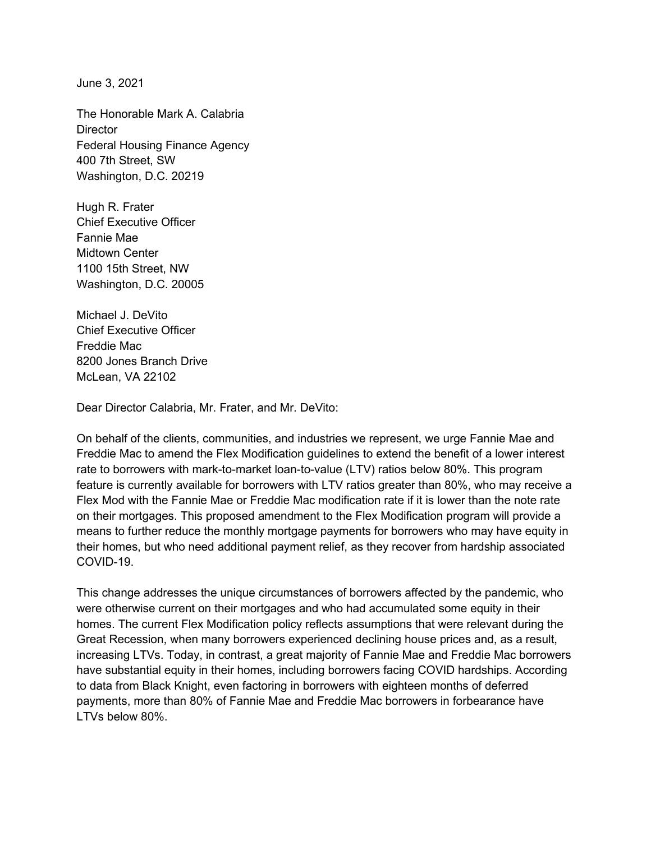June 3, 2021

The Honorable Mark A. Calabria **Director** Federal Housing Finance Agency 400 7th Street, SW Washington, D.C. 20219

Hugh R. Frater Chief Executive Officer Fannie Mae Midtown Center 1100 15th Street, NW Washington, D.C. 20005

Michael J. DeVito Chief Executive Officer Freddie Mac 8200 Jones Branch Drive McLean, VA 22102

Dear Director Calabria, Mr. Frater, and Mr. DeVito:

On behalf of the clients, communities, and industries we represent, we urge Fannie Mae and Freddie Mac to amend the Flex Modification guidelines to extend the benefit of a lower interest rate to borrowers with mark-to-market loan-to-value (LTV) ratios below 80%. This program feature is currently available for borrowers with LTV ratios greater than 80%, who may receive a Flex Mod with the Fannie Mae or Freddie Mac modification rate if it is lower than the note rate on their mortgages. This proposed amendment to the Flex Modification program will provide a means to further reduce the monthly mortgage payments for borrowers who may have equity in their homes, but who need additional payment relief, as they recover from hardship associated COVID-19.

This change addresses the unique circumstances of borrowers affected by the pandemic, who were otherwise current on their mortgages and who had accumulated some equity in their homes. The current Flex Modification policy reflects assumptions that were relevant during the Great Recession, when many borrowers experienced declining house prices and, as a result, increasing LTVs. Today, in contrast, a great majority of Fannie Mae and Freddie Mac borrowers have substantial equity in their homes, including borrowers facing COVID hardships. According to data from Black Knight, even factoring in borrowers with eighteen months of deferred payments, more than 80% of Fannie Mae and Freddie Mac borrowers in forbearance have LTVs below 80%.